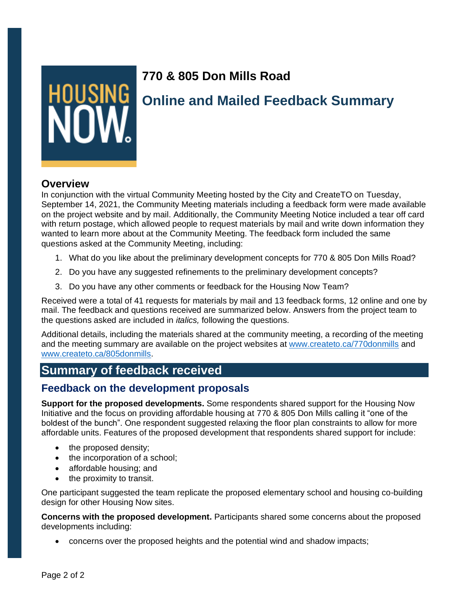

## **770 & 805 Don Mills Road**

# **Online and Mailed Feedback Summary**

## **Overview**

In conjunction with the virtual Community Meeting hosted by the City and CreateTO on Tuesday, September 14, 2021, the Community Meeting materials including a feedback form were made available on the project website and by mail. Additionally, the Community Meeting Notice included a tear off card with return postage, which allowed people to request materials by mail and write down information they wanted to learn more about at the Community Meeting. The feedback form included the same questions asked at the Community Meeting, including:

- 1. What do you like about the preliminary development concepts for 770 & 805 Don Mills Road?
- 2. Do you have any suggested refinements to the preliminary development concepts?
- 3. Do you have any other comments or feedback for the Housing Now Team?

Received were a total of 41 requests for materials by mail and 13 feedback forms, 12 online and one by mail. The feedback and questions received are summarized below. Answers from the project team to the questions asked are included in *italics,* following the questions.

Additional details, including the materials shared at the community meeting, a recording of the meeting and the meeting summary are available on the project websites at [www.createto.ca/770donmills](http://www.createto.ca/770donmills) and [www.createto.ca/805donmills.](http://www.createto.ca/805donmills)

## **Summary of feedback received**

## **Feedback on the development proposals**

**Support for the proposed developments.** Some respondents shared support for the Housing Now Initiative and the focus on providing affordable housing at 770 & 805 Don Mills calling it "one of the boldest of the bunch". One respondent suggested relaxing the floor plan constraints to allow for more affordable units. Features of the proposed development that respondents shared support for include:

- the proposed density;
- the incorporation of a school;
- affordable housing; and
- the proximity to transit.

One participant suggested the team replicate the proposed elementary school and housing co-building design for other Housing Now sites.

**Concerns with the proposed development.** Participants shared some concerns about the proposed developments including:

• concerns over the proposed heights and the potential wind and shadow impacts;